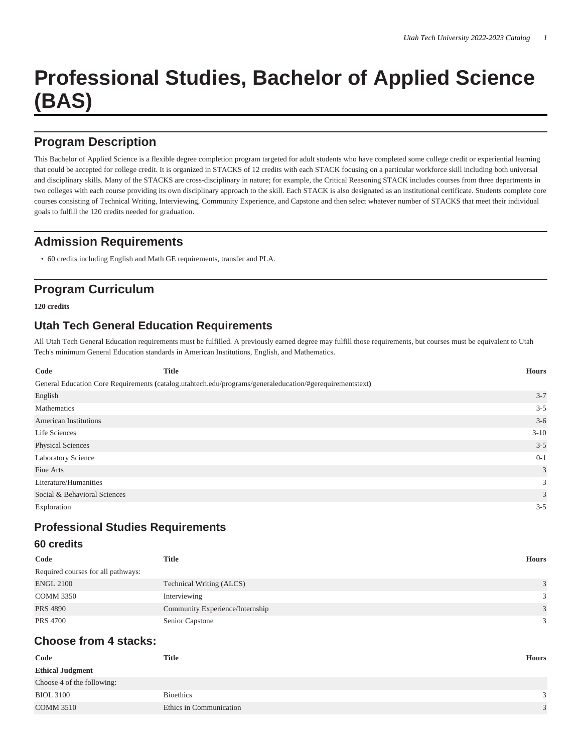# **Professional Studies, Bachelor of Applied Science (BAS)**

# **Program Description**

This Bachelor of Applied Science is a flexible degree completion program targeted for adult students who have completed some college credit or experiential learning that could be accepted for college credit. It is organized in STACKS of 12 credits with each STACK focusing on a particular workforce skill including both universal and disciplinary skills. Many of the STACKS are cross-disciplinary in nature; for example, the Critical Reasoning STACK includes courses from three departments in two colleges with each course providing its own disciplinary approach to the skill. Each STACK is also designated as an institutional certificate. Students complete core courses consisting of Technical Writing, Interviewing, Community Experience, and Capstone and then select whatever number of STACKS that meet their individual goals to fulfill the 120 credits needed for graduation.

# **Admission Requirements**

• 60 credits including English and Math GE requirements, transfer and PLA.

# **Program Curriculum**

**120 credits**

## **Utah Tech General Education Requirements**

All Utah Tech General Education requirements must be fulfilled. A previously earned degree may fulfill those requirements, but courses must be equivalent to Utah Tech's minimum General Education standards in American Institutions, English, and Mathematics.

| Code                         | <b>Title</b>                                                                                             | <b>Hours</b> |
|------------------------------|----------------------------------------------------------------------------------------------------------|--------------|
|                              | General Education Core Requirements (catalog.utahtech.edu/programs/generaleducation/#gerequirementstext) |              |
| English                      |                                                                                                          | $3 - 7$      |
| Mathematics                  |                                                                                                          | $3 - 5$      |
| <b>American Institutions</b> |                                                                                                          | $3-6$        |
| Life Sciences                |                                                                                                          | $3 - 10$     |
| Physical Sciences            |                                                                                                          | $3 - 5$      |
| <b>Laboratory Science</b>    |                                                                                                          | $0 - 1$      |
| Fine Arts                    |                                                                                                          | 3            |
| Literature/Humanities        |                                                                                                          | 3            |
| Social & Behavioral Sciences |                                                                                                          | 3            |
| Exploration                  |                                                                                                          | $3 - 5$      |

## **Professional Studies Requirements**

#### **60 credits**

| Code                               | <b>Title</b>                    | <b>Hours</b> |
|------------------------------------|---------------------------------|--------------|
| Required courses for all pathways: |                                 |              |
| <b>ENGL 2100</b>                   | Technical Writing (ALCS)        | 3            |
| COMM 3350                          | Interviewing                    | 3            |
| <b>PRS 4890</b>                    | Community Experience/Internship | 3            |
| <b>PRS 4700</b>                    | Senior Capstone                 | 3            |

## **Choose from 4 stacks:**

| Code                       | <b>Title</b>            | <b>Hours</b>  |
|----------------------------|-------------------------|---------------|
| <b>Ethical Judgment</b>    |                         |               |
| Choose 4 of the following: |                         |               |
| <b>BIOL 3100</b>           | <b>Bioethics</b>        |               |
| <b>COMM 3510</b>           | Ethics in Communication | $\mathcal{R}$ |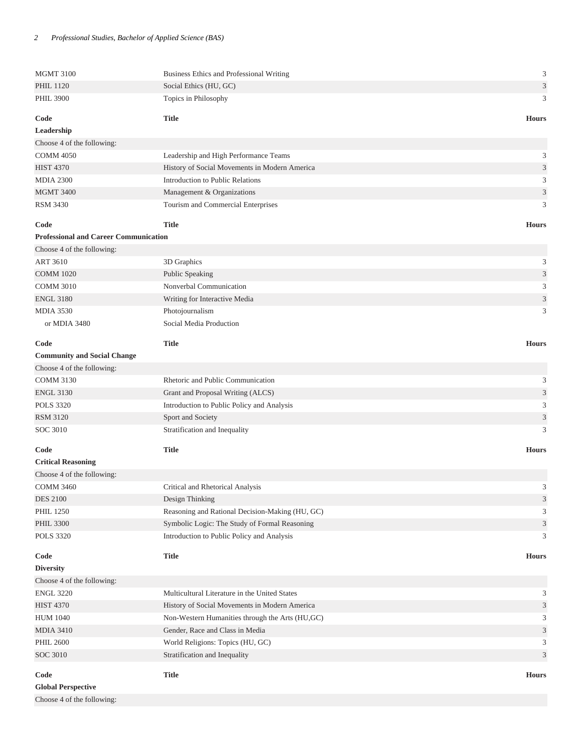| <b>MGMT 3100</b>                             | Business Ethics and Professional Writing        | 3                           |  |
|----------------------------------------------|-------------------------------------------------|-----------------------------|--|
| <b>PHIL 1120</b>                             | Social Ethics (HU, GC)                          |                             |  |
| <b>PHIL 3900</b>                             | Topics in Philosophy                            |                             |  |
|                                              |                                                 | 3                           |  |
| Code                                         | <b>Title</b>                                    | <b>Hours</b>                |  |
| Leadership                                   |                                                 |                             |  |
| Choose 4 of the following:                   |                                                 |                             |  |
| <b>COMM 4050</b>                             | Leadership and High Performance Teams           | 3                           |  |
| <b>HIST 4370</b>                             | History of Social Movements in Modern America   | 3                           |  |
| <b>MDIA 2300</b>                             | Introduction to Public Relations                |                             |  |
| <b>MGMT 3400</b>                             | Management & Organizations                      |                             |  |
| <b>RSM 3430</b>                              | Tourism and Commercial Enterprises              |                             |  |
| Code                                         | <b>Title</b>                                    | <b>Hours</b>                |  |
|                                              |                                                 |                             |  |
| <b>Professional and Career Communication</b> |                                                 |                             |  |
| Choose 4 of the following:                   |                                                 |                             |  |
| <b>ART 3610</b>                              | 3D Graphics                                     | 3                           |  |
| <b>COMM 1020</b>                             | Public Speaking                                 | $\mathfrak{Z}$              |  |
| <b>COMM 3010</b>                             | Nonverbal Communication                         | 3                           |  |
| <b>ENGL 3180</b>                             | Writing for Interactive Media                   | 3                           |  |
| <b>MDIA 3530</b>                             | Photojournalism                                 | 3                           |  |
| or MDIA 3480                                 | Social Media Production                         |                             |  |
| Code                                         | <b>Title</b>                                    | <b>Hours</b>                |  |
| <b>Community and Social Change</b>           |                                                 |                             |  |
| Choose 4 of the following:                   |                                                 |                             |  |
| <b>COMM 3130</b>                             | Rhetoric and Public Communication               | 3                           |  |
| <b>ENGL 3130</b>                             | Grant and Proposal Writing (ALCS)               | $\mathfrak{Z}$              |  |
| <b>POLS 3320</b>                             | Introduction to Public Policy and Analysis      | 3                           |  |
|                                              |                                                 |                             |  |
| <b>RSM 3120</b>                              | Sport and Society                               | 3                           |  |
| <b>SOC 3010</b>                              | Stratification and Inequality                   | 3                           |  |
| Code                                         | <b>Title</b>                                    | <b>Hours</b>                |  |
| <b>Critical Reasoning</b>                    |                                                 |                             |  |
| Choose 4 of the following:                   |                                                 |                             |  |
| <b>COMM 3460</b>                             | Critical and Rhetorical Analysis                | 3                           |  |
| <b>DES 2100</b>                              | Design Thinking                                 | $\ensuremath{\mathfrak{Z}}$ |  |
| <b>PHIL 1250</b>                             | Reasoning and Rational Decision-Making (HU, GC) |                             |  |
| <b>PHIL 3300</b>                             | Symbolic Logic: The Study of Formal Reasoning   | $\sqrt{3}$                  |  |
| <b>POLS 3320</b>                             | Introduction to Public Policy and Analysis      | 3                           |  |
|                                              |                                                 |                             |  |
| Code                                         | <b>Title</b>                                    | <b>Hours</b>                |  |
| <b>Diversity</b>                             |                                                 |                             |  |
| Choose 4 of the following:                   |                                                 |                             |  |
| <b>ENGL 3220</b>                             | Multicultural Literature in the United States   | 3                           |  |
| <b>HIST 4370</b>                             | History of Social Movements in Modern America   | 3                           |  |
| <b>HUM 1040</b>                              | Non-Western Humanities through the Arts (HU,GC) | 3                           |  |
| <b>MDIA 3410</b>                             | Gender, Race and Class in Media                 | $\mathfrak{Z}$              |  |
| <b>PHIL 2600</b>                             | World Religions: Topics (HU, GC)                | 3                           |  |
| SOC 3010                                     | Stratification and Inequality                   | 3                           |  |
|                                              |                                                 |                             |  |
| Code                                         | <b>Title</b>                                    | <b>Hours</b>                |  |
| <b>Global Perspective</b>                    |                                                 |                             |  |
| Choose 4 of the following:                   |                                                 |                             |  |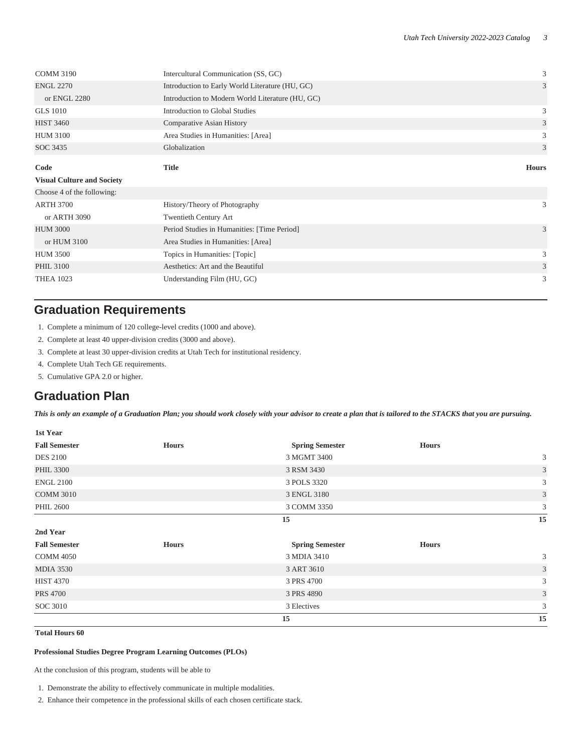| <b>COMM 3190</b>                  | Intercultural Communication (SS, GC)             |              |  |
|-----------------------------------|--------------------------------------------------|--------------|--|
| <b>ENGL 2270</b>                  | Introduction to Early World Literature (HU, GC)  | 3            |  |
| or ENGL 2280                      | Introduction to Modern World Literature (HU, GC) |              |  |
| <b>GLS</b> 1010                   | <b>Introduction to Global Studies</b>            | 3            |  |
| <b>HIST 3460</b>                  | Comparative Asian History                        |              |  |
| <b>HUM 3100</b>                   | Area Studies in Humanities: [Area]               | 3            |  |
| SOC 3435                          | Globalization                                    | 3            |  |
| Code                              | <b>Title</b>                                     | <b>Hours</b> |  |
| <b>Visual Culture and Society</b> |                                                  |              |  |
| Choose 4 of the following:        |                                                  |              |  |
| <b>ARTH 3700</b>                  | History/Theory of Photography                    | 3            |  |
|                                   |                                                  |              |  |
| or ARTH 3090                      | <b>Twentieth Century Art</b>                     |              |  |
| <b>HUM 3000</b>                   | Period Studies in Humanities: [Time Period]      | 3            |  |
| or HUM 3100                       | Area Studies in Humanities: [Area]               |              |  |
| <b>HUM 3500</b>                   | Topics in Humanities: [Topic]                    | 3            |  |
| <b>PHIL 3100</b>                  | Aesthetics: Art and the Beautiful                | 3            |  |

## **Graduation Requirements**

- 1. Complete a minimum of 120 college-level credits (1000 and above).
- 2. Complete at least 40 upper-division credits (3000 and above).
- 3. Complete at least 30 upper-division credits at Utah Tech for institutional residency.
- 4. Complete Utah Tech GE requirements.
- 5. Cumulative GPA 2.0 or higher.

## **Graduation Plan**

*This is only an example of a Graduation Plan; you should work closely with your advisor to create a plan that is tailored to the STACKS that you are pursuing.*

| 1st Year             |              |                        |              |    |
|----------------------|--------------|------------------------|--------------|----|
| <b>Fall Semester</b> | <b>Hours</b> | <b>Spring Semester</b> | <b>Hours</b> |    |
| <b>DES 2100</b>      |              | 3 MGMT 3400            |              | 3  |
| <b>PHIL 3300</b>     |              | 3 RSM 3430             |              | 3  |
| <b>ENGL 2100</b>     |              | 3 POLS 3320            |              | 3  |
| <b>COMM 3010</b>     |              | 3 ENGL 3180            |              | 3  |
| <b>PHIL 2600</b>     |              | 3 COMM 3350            |              | 3  |
|                      |              | 15                     |              | 15 |
| 2nd Year             |              |                        |              |    |
| <b>Fall Semester</b> | <b>Hours</b> | <b>Spring Semester</b> | <b>Hours</b> |    |
| <b>COMM 4050</b>     |              | 3 MDIA 3410            |              | 3  |
| <b>MDIA 3530</b>     |              | 3 ART 3610             |              | 3  |
| <b>HIST 4370</b>     |              | 3 PRS 4700             |              | 3  |
| <b>PRS 4700</b>      |              | 3 PRS 4890             |              | 3  |
| SOC 3010             |              | 3 Electives            |              | 3  |
|                      |              | 15                     |              | 15 |

#### **Total Hours 60**

#### **Professional Studies Degree Program Learning Outcomes (PLOs)**

At the conclusion of this program, students will be able to

- 1. Demonstrate the ability to effectively communicate in multiple modalities.
- 2. Enhance their competence in the professional skills of each chosen certificate stack.